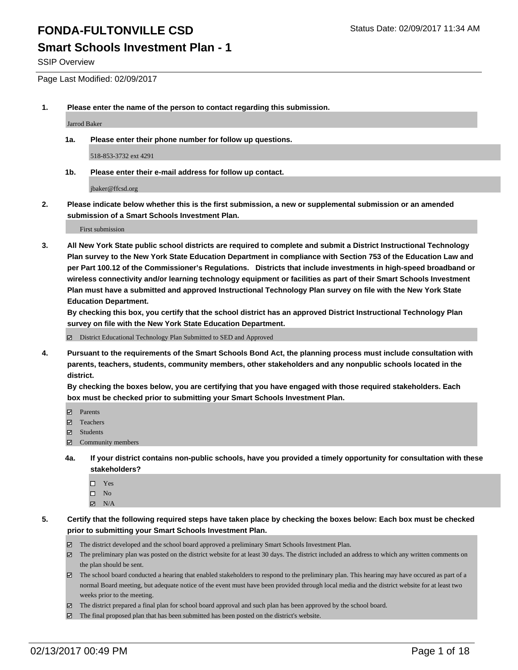SSIP Overview

Page Last Modified: 02/09/2017

**1. Please enter the name of the person to contact regarding this submission.**

Jarrod Baker

**1a. Please enter their phone number for follow up questions.**

518-853-3732 ext 4291

**1b. Please enter their e-mail address for follow up contact.**

jbaker@ffcsd.org

**2. Please indicate below whether this is the first submission, a new or supplemental submission or an amended submission of a Smart Schools Investment Plan.**

First submission

**3. All New York State public school districts are required to complete and submit a District Instructional Technology Plan survey to the New York State Education Department in compliance with Section 753 of the Education Law and per Part 100.12 of the Commissioner's Regulations. Districts that include investments in high-speed broadband or wireless connectivity and/or learning technology equipment or facilities as part of their Smart Schools Investment Plan must have a submitted and approved Instructional Technology Plan survey on file with the New York State Education Department.** 

**By checking this box, you certify that the school district has an approved District Instructional Technology Plan survey on file with the New York State Education Department.**

District Educational Technology Plan Submitted to SED and Approved

**4. Pursuant to the requirements of the Smart Schools Bond Act, the planning process must include consultation with parents, teachers, students, community members, other stakeholders and any nonpublic schools located in the district.** 

**By checking the boxes below, you are certifying that you have engaged with those required stakeholders. Each box must be checked prior to submitting your Smart Schools Investment Plan.**

- **Parents**
- Teachers
- **冈** Students
- Community members
- **4a. If your district contains non-public schools, have you provided a timely opportunity for consultation with these stakeholders?**
	- □ Yes
	- $\square$  No
	- $\boxtimes$  N/A
- **5. Certify that the following required steps have taken place by checking the boxes below: Each box must be checked prior to submitting your Smart Schools Investment Plan.**
	- The district developed and the school board approved a preliminary Smart Schools Investment Plan.
	- The preliminary plan was posted on the district website for at least 30 days. The district included an address to which any written comments on the plan should be sent.
	- The school board conducted a hearing that enabled stakeholders to respond to the preliminary plan. This hearing may have occured as part of a normal Board meeting, but adequate notice of the event must have been provided through local media and the district website for at least two weeks prior to the meeting.
	- The district prepared a final plan for school board approval and such plan has been approved by the school board.
	- $\boxtimes$  The final proposed plan that has been submitted has been posted on the district's website.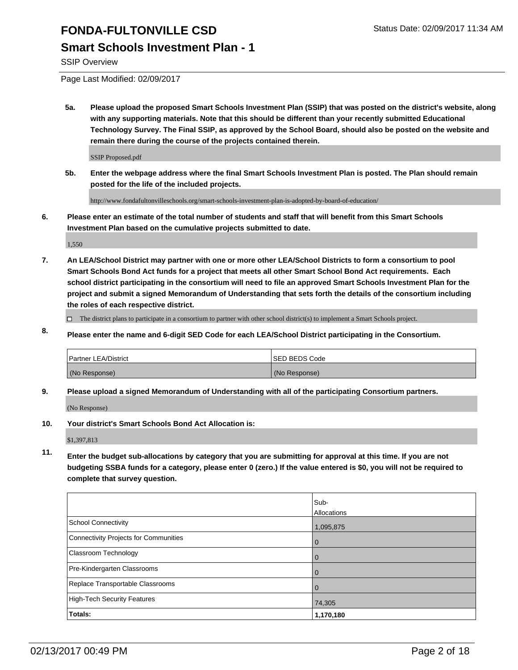SSIP Overview

Page Last Modified: 02/09/2017

**5a. Please upload the proposed Smart Schools Investment Plan (SSIP) that was posted on the district's website, along with any supporting materials. Note that this should be different than your recently submitted Educational Technology Survey. The Final SSIP, as approved by the School Board, should also be posted on the website and remain there during the course of the projects contained therein.**

SSIP Proposed.pdf

**5b. Enter the webpage address where the final Smart Schools Investment Plan is posted. The Plan should remain posted for the life of the included projects.**

http://www.fondafultonvilleschools.org/smart-schools-investment-plan-is-adopted-by-board-of-education/

**6. Please enter an estimate of the total number of students and staff that will benefit from this Smart Schools Investment Plan based on the cumulative projects submitted to date.**

1,550

- **7. An LEA/School District may partner with one or more other LEA/School Districts to form a consortium to pool Smart Schools Bond Act funds for a project that meets all other Smart School Bond Act requirements. Each school district participating in the consortium will need to file an approved Smart Schools Investment Plan for the project and submit a signed Memorandum of Understanding that sets forth the details of the consortium including the roles of each respective district.**
	- $\Box$  The district plans to participate in a consortium to partner with other school district(s) to implement a Smart Schools project.
- **8. Please enter the name and 6-digit SED Code for each LEA/School District participating in the Consortium.**

| <b>Partner LEA/District</b> | <b>ISED BEDS Code</b> |
|-----------------------------|-----------------------|
| (No Response)               | (No Response)         |

**9. Please upload a signed Memorandum of Understanding with all of the participating Consortium partners.**

(No Response)

**10. Your district's Smart Schools Bond Act Allocation is:**

\$1,397,813

**11. Enter the budget sub-allocations by category that you are submitting for approval at this time. If you are not budgeting SSBA funds for a category, please enter 0 (zero.) If the value entered is \$0, you will not be required to complete that survey question.**

|                                       | Sub-        |
|---------------------------------------|-------------|
|                                       | Allocations |
| School Connectivity                   | 1,095,875   |
| Connectivity Projects for Communities | $\Omega$    |
| <b>Classroom Technology</b>           |             |
| Pre-Kindergarten Classrooms           |             |
| Replace Transportable Classrooms      |             |
| High-Tech Security Features           | 74,305      |
| Totals:                               | 1,170,180   |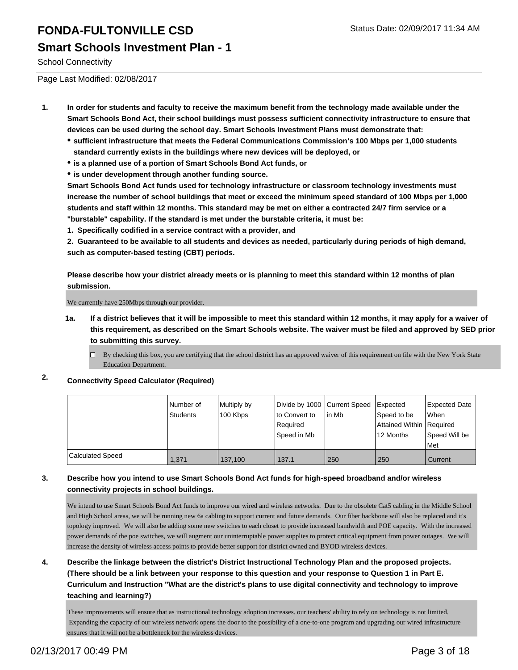School Connectivity

Page Last Modified: 02/08/2017

- **1. In order for students and faculty to receive the maximum benefit from the technology made available under the Smart Schools Bond Act, their school buildings must possess sufficient connectivity infrastructure to ensure that devices can be used during the school day. Smart Schools Investment Plans must demonstrate that:**
	- **sufficient infrastructure that meets the Federal Communications Commission's 100 Mbps per 1,000 students standard currently exists in the buildings where new devices will be deployed, or**
	- **is a planned use of a portion of Smart Schools Bond Act funds, or**
	- **is under development through another funding source.**

**Smart Schools Bond Act funds used for technology infrastructure or classroom technology investments must increase the number of school buildings that meet or exceed the minimum speed standard of 100 Mbps per 1,000 students and staff within 12 months. This standard may be met on either a contracted 24/7 firm service or a "burstable" capability. If the standard is met under the burstable criteria, it must be:**

**1. Specifically codified in a service contract with a provider, and**

**2. Guaranteed to be available to all students and devices as needed, particularly during periods of high demand, such as computer-based testing (CBT) periods.**

**Please describe how your district already meets or is planning to meet this standard within 12 months of plan submission.**

We currently have 250Mbps through our provider.

**1a. If a district believes that it will be impossible to meet this standard within 12 months, it may apply for a waiver of this requirement, as described on the Smart Schools website. The waiver must be filed and approved by SED prior to submitting this survey.**

□ By checking this box, you are certifying that the school district has an approved waiver of this requirement on file with the New York State Education Department.

**2. Connectivity Speed Calculator (Required)**

|                         | Number of<br>Students | Multiply by<br>100 Kbps | Divide by 1000 Current Speed<br>Ito Convert to<br>Required<br> Speed in Mb | lin Mb | Expected<br>Speed to be<br>Attained Within   Required<br>12 Months | Expected Date<br><b>When</b><br>Speed Will be<br>l Met |
|-------------------------|-----------------------|-------------------------|----------------------------------------------------------------------------|--------|--------------------------------------------------------------------|--------------------------------------------------------|
| <b>Calculated Speed</b> | 1,371                 | 137.100                 | 137.1                                                                      | 250    | 250                                                                | Current                                                |

#### **3. Describe how you intend to use Smart Schools Bond Act funds for high-speed broadband and/or wireless connectivity projects in school buildings.**

We intend to use Smart Schools Bond Act funds to improve our wired and wireless networks. Due to the obsolete Cat5 cabling in the Middle School and High School areas, we will be running new 6a cabling to support current and future demands. Our fiber backbone will also be replaced and it's topology improved. We will also be adding some new switches to each closet to provide increased bandwidth and POE capacity. With the increased power demands of the poe switches, we will augment our uninterruptable power supplies to protect critical equipment from power outages. We will increase the density of wireless access points to provide better support for district owned and BYOD wireless devices.

**4. Describe the linkage between the district's District Instructional Technology Plan and the proposed projects. (There should be a link between your response to this question and your response to Question 1 in Part E. Curriculum and Instruction "What are the district's plans to use digital connectivity and technology to improve teaching and learning?)**

These improvements will ensure that as instructional technology adoption increases. our teachers' ability to rely on technology is not limited. Expanding the capacity of our wireless network opens the door to the possibility of a one-to-one program and upgrading our wired infrastructure ensures that it will not be a bottleneck for the wireless devices.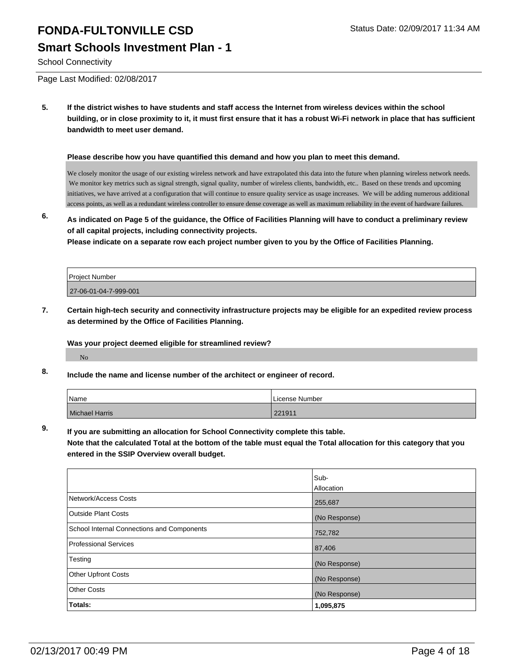School Connectivity

Page Last Modified: 02/08/2017

**5. If the district wishes to have students and staff access the Internet from wireless devices within the school building, or in close proximity to it, it must first ensure that it has a robust Wi-Fi network in place that has sufficient bandwidth to meet user demand.**

#### **Please describe how you have quantified this demand and how you plan to meet this demand.**

We closely monitor the usage of our existing wireless network and have extrapolated this data into the future when planning wireless network needs. We monitor key metrics such as signal strength, signal quality, number of wireless clients, bandwidth, etc.. Based on these trends and upcoming initiatives, we have arrived at a configuration that will continue to ensure quality service as usage increases. We will be adding numerous additional access points, as well as a redundant wireless controller to ensure dense coverage as well as maximum reliability in the event of hardware failures.

**6. As indicated on Page 5 of the guidance, the Office of Facilities Planning will have to conduct a preliminary review of all capital projects, including connectivity projects.**

**Please indicate on a separate row each project number given to you by the Office of Facilities Planning.**

| <b>Project Number</b> |  |
|-----------------------|--|
| 27-06-01-04-7-999-001 |  |

**7. Certain high-tech security and connectivity infrastructure projects may be eligible for an expedited review process as determined by the Office of Facilities Planning.**

#### **Was your project deemed eligible for streamlined review?**

No

**8. Include the name and license number of the architect or engineer of record.**

| Name           | License Number |
|----------------|----------------|
| Michael Harris | 221911         |

**9. If you are submitting an allocation for School Connectivity complete this table.**

**Note that the calculated Total at the bottom of the table must equal the Total allocation for this category that you entered in the SSIP Overview overall budget.** 

|                                            | Sub-          |
|--------------------------------------------|---------------|
|                                            | Allocation    |
| Network/Access Costs                       | 255,687       |
| <b>Outside Plant Costs</b>                 | (No Response) |
| School Internal Connections and Components | 752,782       |
| Professional Services                      | 87,406        |
| Testing                                    | (No Response) |
| Other Upfront Costs                        | (No Response) |
| <b>Other Costs</b>                         | (No Response) |
| Totals:                                    | 1,095,875     |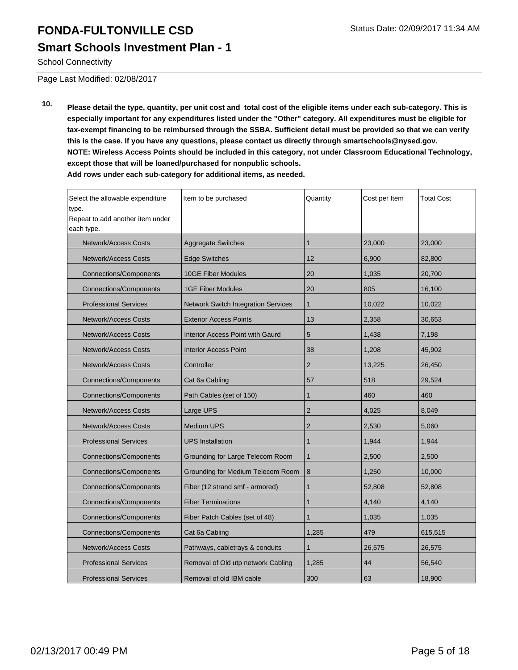## **FONDA-FULTONVILLE CSD** Status Date: 02/09/2017 11:34 AM **Smart Schools Investment Plan - 1**

School Connectivity

Page Last Modified: 02/08/2017

**10. Please detail the type, quantity, per unit cost and total cost of the eligible items under each sub-category. This is especially important for any expenditures listed under the "Other" category. All expenditures must be eligible for tax-exempt financing to be reimbursed through the SSBA. Sufficient detail must be provided so that we can verify this is the case. If you have any questions, please contact us directly through smartschools@nysed.gov. NOTE: Wireless Access Points should be included in this category, not under Classroom Educational Technology, except those that will be loaned/purchased for nonpublic schools. Add rows under each sub-category for additional items, as needed.**

| Select the allowable expenditure<br>type.<br>Repeat to add another item under<br>each type. | Item to be purchased                    | Quantity       | Cost per Item | <b>Total Cost</b> |
|---------------------------------------------------------------------------------------------|-----------------------------------------|----------------|---------------|-------------------|
| <b>Network/Access Costs</b>                                                                 | <b>Aggregate Switches</b>               | $\mathbf{1}$   | 23,000        | 23,000            |
| <b>Network/Access Costs</b>                                                                 | <b>Edge Switches</b>                    | 12             | 6,900         | 82,800            |
| Connections/Components                                                                      | <b>10GE Fiber Modules</b>               | 20             | 1,035         | 20,700            |
| <b>Connections/Components</b>                                                               | <b>1GE Fiber Modules</b>                | 20             | 805           | 16,100            |
| <b>Professional Services</b>                                                                | Network Switch Integration Services     | $\mathbf{1}$   | 10,022        | 10,022            |
| <b>Network/Access Costs</b>                                                                 | <b>Exterior Access Points</b>           | 13             | 2.358         | 30,653            |
| <b>Network/Access Costs</b>                                                                 | <b>Interior Access Point with Gaurd</b> | 5              | 1,438         | 7,198             |
| <b>Network/Access Costs</b>                                                                 | <b>Interior Access Point</b>            | 38             | 1,208         | 45,902            |
| <b>Network/Access Costs</b>                                                                 | Controller                              | $\overline{2}$ | 13,225        | 26,450            |
| <b>Connections/Components</b>                                                               | Cat 6a Cabling                          | 57             | 518           | 29,524            |
| <b>Connections/Components</b>                                                               | Path Cables (set of 150)                | $\mathbf{1}$   | 460           | 460               |
| <b>Network/Access Costs</b>                                                                 | Large UPS                               | $\overline{2}$ | 4,025         | 8,049             |
| <b>Network/Access Costs</b>                                                                 | <b>Medium UPS</b>                       | $\overline{2}$ | 2,530         | 5,060             |
| <b>Professional Services</b>                                                                | <b>UPS</b> Installation                 | 1              | 1,944         | 1,944             |
| <b>Connections/Components</b>                                                               | Grounding for Large Telecom Room        | 1              | 2,500         | 2,500             |
| <b>Connections/Components</b>                                                               | Grounding for Medium Telecom Room       | 8              | 1,250         | 10,000            |
| Connections/Components                                                                      | Fiber (12 strand smf - armored)         | $\mathbf{1}$   | 52,808        | 52,808            |
| <b>Connections/Components</b>                                                               | <b>Fiber Terminations</b>               | $\mathbf{1}$   | 4,140         | 4,140             |
| <b>Connections/Components</b>                                                               | Fiber Patch Cables (set of 48)          | $\mathbf{1}$   | 1,035         | 1,035             |
| <b>Connections/Components</b>                                                               | Cat 6a Cabling                          | 1,285          | 479           | 615,515           |
| <b>Network/Access Costs</b>                                                                 | Pathways, cabletrays & conduits         | 1              | 26,575        | 26,575            |
| <b>Professional Services</b>                                                                | Removal of Old utp network Cabling      | 1.285          | 44            | 56,540            |
| <b>Professional Services</b>                                                                | Removal of old IBM cable                | 300            | 63            | 18,900            |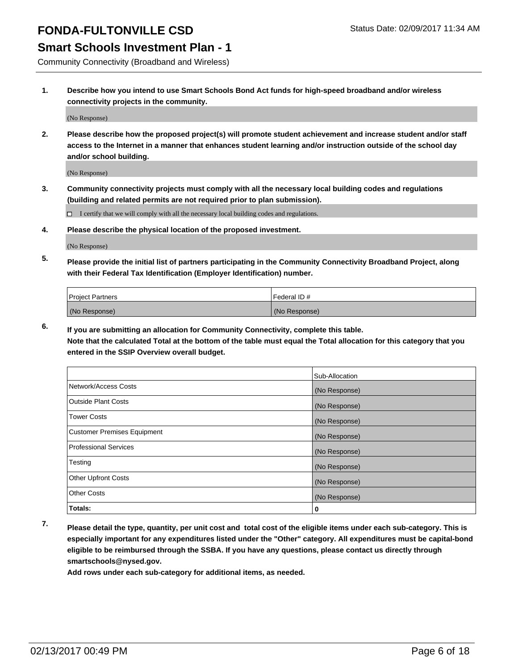#### **Smart Schools Investment Plan - 1**

Community Connectivity (Broadband and Wireless)

**1. Describe how you intend to use Smart Schools Bond Act funds for high-speed broadband and/or wireless connectivity projects in the community.**

(No Response)

**2. Please describe how the proposed project(s) will promote student achievement and increase student and/or staff access to the Internet in a manner that enhances student learning and/or instruction outside of the school day and/or school building.**

(No Response)

**3. Community connectivity projects must comply with all the necessary local building codes and regulations (building and related permits are not required prior to plan submission).**

 $\Box$  I certify that we will comply with all the necessary local building codes and regulations.

**4. Please describe the physical location of the proposed investment.**

(No Response)

**5. Please provide the initial list of partners participating in the Community Connectivity Broadband Project, along with their Federal Tax Identification (Employer Identification) number.**

| <b>Project Partners</b> | Federal ID#   |
|-------------------------|---------------|
| (No Response)           | (No Response) |

**6. If you are submitting an allocation for Community Connectivity, complete this table.**

**Note that the calculated Total at the bottom of the table must equal the Total allocation for this category that you entered in the SSIP Overview overall budget.**

|                                    | Sub-Allocation |
|------------------------------------|----------------|
| Network/Access Costs               | (No Response)  |
| Outside Plant Costs                | (No Response)  |
| <b>Tower Costs</b>                 | (No Response)  |
| <b>Customer Premises Equipment</b> | (No Response)  |
| Professional Services              | (No Response)  |
| Testing                            | (No Response)  |
| <b>Other Upfront Costs</b>         | (No Response)  |
| <b>Other Costs</b>                 | (No Response)  |
| <b>Totals:</b>                     | 0              |

**7. Please detail the type, quantity, per unit cost and total cost of the eligible items under each sub-category. This is especially important for any expenditures listed under the "Other" category. All expenditures must be capital-bond eligible to be reimbursed through the SSBA. If you have any questions, please contact us directly through smartschools@nysed.gov.**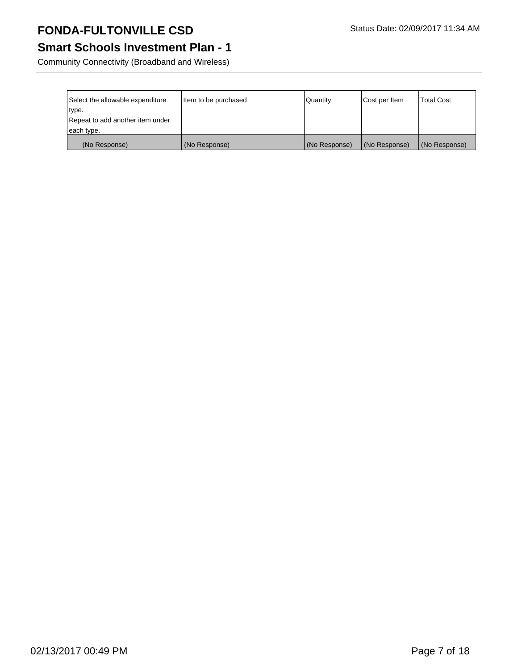## **Smart Schools Investment Plan - 1**

Community Connectivity (Broadband and Wireless)

| Select the allowable expenditure<br>type. | litem to be purchased | Quantity      | Cost per Item | <b>Total Cost</b> |
|-------------------------------------------|-----------------------|---------------|---------------|-------------------|
| Repeat to add another item under          |                       |               |               |                   |
| each type.                                |                       |               |               |                   |
| (No Response)                             | (No Response)         | (No Response) | (No Response) | (No Response)     |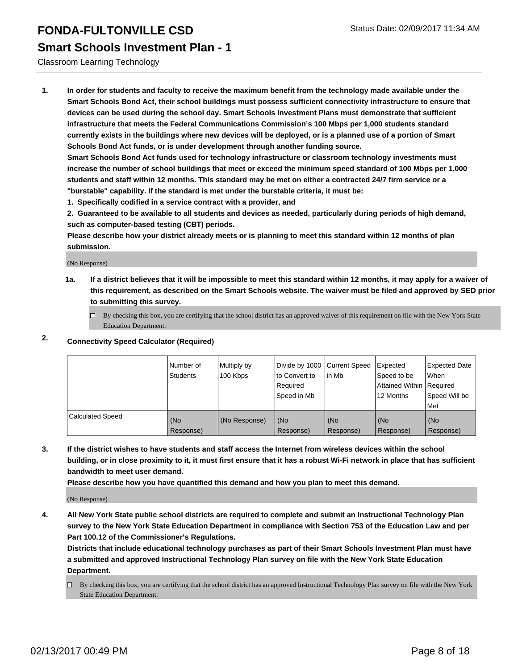#### **Smart Schools Investment Plan - 1**

Classroom Learning Technology

**1. In order for students and faculty to receive the maximum benefit from the technology made available under the Smart Schools Bond Act, their school buildings must possess sufficient connectivity infrastructure to ensure that devices can be used during the school day. Smart Schools Investment Plans must demonstrate that sufficient infrastructure that meets the Federal Communications Commission's 100 Mbps per 1,000 students standard currently exists in the buildings where new devices will be deployed, or is a planned use of a portion of Smart Schools Bond Act funds, or is under development through another funding source.**

**Smart Schools Bond Act funds used for technology infrastructure or classroom technology investments must increase the number of school buildings that meet or exceed the minimum speed standard of 100 Mbps per 1,000 students and staff within 12 months. This standard may be met on either a contracted 24/7 firm service or a "burstable" capability. If the standard is met under the burstable criteria, it must be:**

**1. Specifically codified in a service contract with a provider, and**

**2. Guaranteed to be available to all students and devices as needed, particularly during periods of high demand, such as computer-based testing (CBT) periods.**

**Please describe how your district already meets or is planning to meet this standard within 12 months of plan submission.**

(No Response)

**1a. If a district believes that it will be impossible to meet this standard within 12 months, it may apply for a waiver of this requirement, as described on the Smart Schools website. The waiver must be filed and approved by SED prior to submitting this survey.**

 $\Box$  By checking this box, you are certifying that the school district has an approved waiver of this requirement on file with the New York State Education Department.

#### **2. Connectivity Speed Calculator (Required)**

|                         | INumber of<br>Students | Multiply by<br>100 Kbps | Divide by 1000 Current Speed<br>Ito Convert to<br>Required<br>Speed in Mb | lin Mb             | Expected<br>Speed to be<br>Attained Within Required<br>12 Months | Expected Date<br><b>When</b><br>Speed Will be<br>l Met |
|-------------------------|------------------------|-------------------------|---------------------------------------------------------------------------|--------------------|------------------------------------------------------------------|--------------------------------------------------------|
| <b>Calculated Speed</b> | (No<br>Response)       | (No Response)           | (No<br>Response)                                                          | l (No<br>Response) | (No<br>Response)                                                 | l (No<br>Response)                                     |

**3. If the district wishes to have students and staff access the Internet from wireless devices within the school building, or in close proximity to it, it must first ensure that it has a robust Wi-Fi network in place that has sufficient bandwidth to meet user demand.**

**Please describe how you have quantified this demand and how you plan to meet this demand.**

(No Response)

**4. All New York State public school districts are required to complete and submit an Instructional Technology Plan survey to the New York State Education Department in compliance with Section 753 of the Education Law and per Part 100.12 of the Commissioner's Regulations.**

**Districts that include educational technology purchases as part of their Smart Schools Investment Plan must have a submitted and approved Instructional Technology Plan survey on file with the New York State Education Department.**

By checking this box, you are certifying that the school district has an approved Instructional Technology Plan survey on file with the New York State Education Department.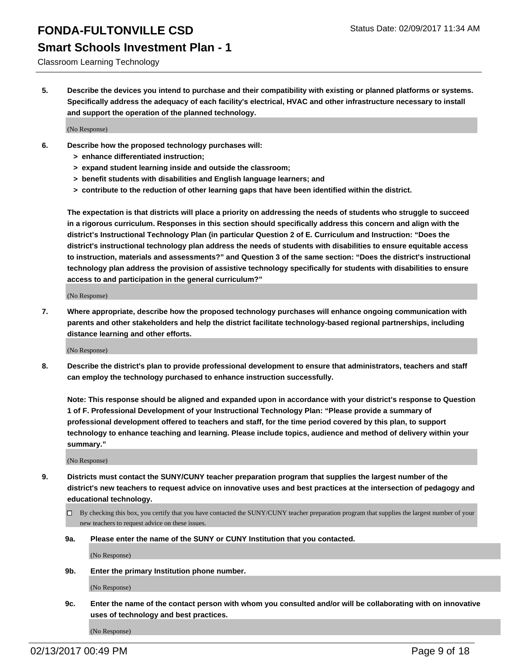#### **Smart Schools Investment Plan - 1**

#### Classroom Learning Technology

**5. Describe the devices you intend to purchase and their compatibility with existing or planned platforms or systems. Specifically address the adequacy of each facility's electrical, HVAC and other infrastructure necessary to install and support the operation of the planned technology.**

(No Response)

- **6. Describe how the proposed technology purchases will:**
	- **> enhance differentiated instruction;**
	- **> expand student learning inside and outside the classroom;**
	- **> benefit students with disabilities and English language learners; and**
	- **> contribute to the reduction of other learning gaps that have been identified within the district.**

**The expectation is that districts will place a priority on addressing the needs of students who struggle to succeed in a rigorous curriculum. Responses in this section should specifically address this concern and align with the district's Instructional Technology Plan (in particular Question 2 of E. Curriculum and Instruction: "Does the district's instructional technology plan address the needs of students with disabilities to ensure equitable access to instruction, materials and assessments?" and Question 3 of the same section: "Does the district's instructional technology plan address the provision of assistive technology specifically for students with disabilities to ensure access to and participation in the general curriculum?"**

(No Response)

**7. Where appropriate, describe how the proposed technology purchases will enhance ongoing communication with parents and other stakeholders and help the district facilitate technology-based regional partnerships, including distance learning and other efforts.**

(No Response)

**8. Describe the district's plan to provide professional development to ensure that administrators, teachers and staff can employ the technology purchased to enhance instruction successfully.**

**Note: This response should be aligned and expanded upon in accordance with your district's response to Question 1 of F. Professional Development of your Instructional Technology Plan: "Please provide a summary of professional development offered to teachers and staff, for the time period covered by this plan, to support technology to enhance teaching and learning. Please include topics, audience and method of delivery within your summary."**

(No Response)

- **9. Districts must contact the SUNY/CUNY teacher preparation program that supplies the largest number of the district's new teachers to request advice on innovative uses and best practices at the intersection of pedagogy and educational technology.**
	- $\Box$  By checking this box, you certify that you have contacted the SUNY/CUNY teacher preparation program that supplies the largest number of your new teachers to request advice on these issues.
	- **9a. Please enter the name of the SUNY or CUNY Institution that you contacted.**

(No Response)

**9b. Enter the primary Institution phone number.**

(No Response)

**9c. Enter the name of the contact person with whom you consulted and/or will be collaborating with on innovative uses of technology and best practices.**

(No Response)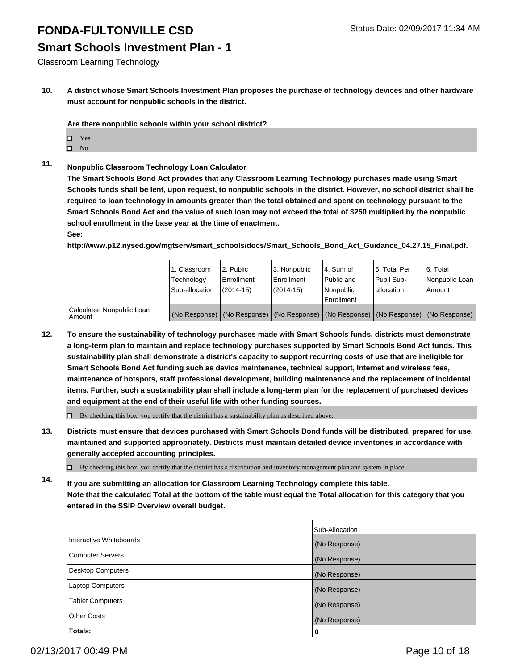### **Smart Schools Investment Plan - 1**

Classroom Learning Technology

**10. A district whose Smart Schools Investment Plan proposes the purchase of technology devices and other hardware must account for nonpublic schools in the district.**

**Are there nonpublic schools within your school district?**

- □ Yes
- $\square$  No
- **11. Nonpublic Classroom Technology Loan Calculator**

**The Smart Schools Bond Act provides that any Classroom Learning Technology purchases made using Smart Schools funds shall be lent, upon request, to nonpublic schools in the district. However, no school district shall be required to loan technology in amounts greater than the total obtained and spent on technology pursuant to the Smart Schools Bond Act and the value of such loan may not exceed the total of \$250 multiplied by the nonpublic school enrollment in the base year at the time of enactment.**

#### **See:**

**http://www.p12.nysed.gov/mgtserv/smart\_schools/docs/Smart\_Schools\_Bond\_Act\_Guidance\_04.27.15\_Final.pdf.**

|                                         | 1. Classroom<br>Technology<br>Sub-allocation | 2. Public<br>Enrollment<br>$(2014 - 15)$ | 3. Nonpublic<br>Enrollment<br>(2014-15) | l 4. Sum of<br>Public and<br>l Nonpublic<br>Enrollment | 15. Total Per<br>Pupil Sub-<br>I allocation                                                   | 6. Total<br>Nonpublic Loan  <br>Amount |
|-----------------------------------------|----------------------------------------------|------------------------------------------|-----------------------------------------|--------------------------------------------------------|-----------------------------------------------------------------------------------------------|----------------------------------------|
| Calculated Nonpublic Loan<br>l Amount i |                                              |                                          |                                         |                                                        | (No Response)   (No Response)   (No Response)   (No Response)   (No Response)   (No Response) |                                        |

- **12. To ensure the sustainability of technology purchases made with Smart Schools funds, districts must demonstrate a long-term plan to maintain and replace technology purchases supported by Smart Schools Bond Act funds. This sustainability plan shall demonstrate a district's capacity to support recurring costs of use that are ineligible for Smart Schools Bond Act funding such as device maintenance, technical support, Internet and wireless fees, maintenance of hotspots, staff professional development, building maintenance and the replacement of incidental items. Further, such a sustainability plan shall include a long-term plan for the replacement of purchased devices and equipment at the end of their useful life with other funding sources.**
	- $\Box$  By checking this box, you certify that the district has a sustainability plan as described above.
- **13. Districts must ensure that devices purchased with Smart Schools Bond funds will be distributed, prepared for use, maintained and supported appropriately. Districts must maintain detailed device inventories in accordance with generally accepted accounting principles.**

 $\Box$  By checking this box, you certify that the district has a distribution and inventory management plan and system in place.

**14. If you are submitting an allocation for Classroom Learning Technology complete this table. Note that the calculated Total at the bottom of the table must equal the Total allocation for this category that you entered in the SSIP Overview overall budget.**

|                          | Sub-Allocation |
|--------------------------|----------------|
| Interactive Whiteboards  | (No Response)  |
| Computer Servers         | (No Response)  |
| <b>Desktop Computers</b> | (No Response)  |
| Laptop Computers         | (No Response)  |
| <b>Tablet Computers</b>  | (No Response)  |
| Other Costs              | (No Response)  |
| Totals:                  | 0              |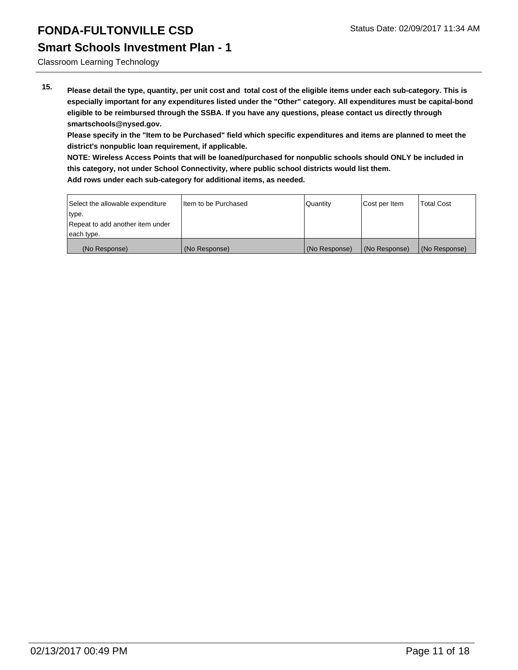### **Smart Schools Investment Plan - 1**

Classroom Learning Technology

**15. Please detail the type, quantity, per unit cost and total cost of the eligible items under each sub-category. This is especially important for any expenditures listed under the "Other" category. All expenditures must be capital-bond eligible to be reimbursed through the SSBA. If you have any questions, please contact us directly through smartschools@nysed.gov.**

**Please specify in the "Item to be Purchased" field which specific expenditures and items are planned to meet the district's nonpublic loan requirement, if applicable.**

**NOTE: Wireless Access Points that will be loaned/purchased for nonpublic schools should ONLY be included in this category, not under School Connectivity, where public school districts would list them.**

| Select the allowable expenditure | I tem to be Purchased | <b>Quantity</b> | Cost per Item | <b>Total Cost</b> |
|----------------------------------|-----------------------|-----------------|---------------|-------------------|
| type.                            |                       |                 |               |                   |
| Repeat to add another item under |                       |                 |               |                   |
| each type.                       |                       |                 |               |                   |
| (No Response)                    | (No Response)         | (No Response)   | (No Response) | (No Response)     |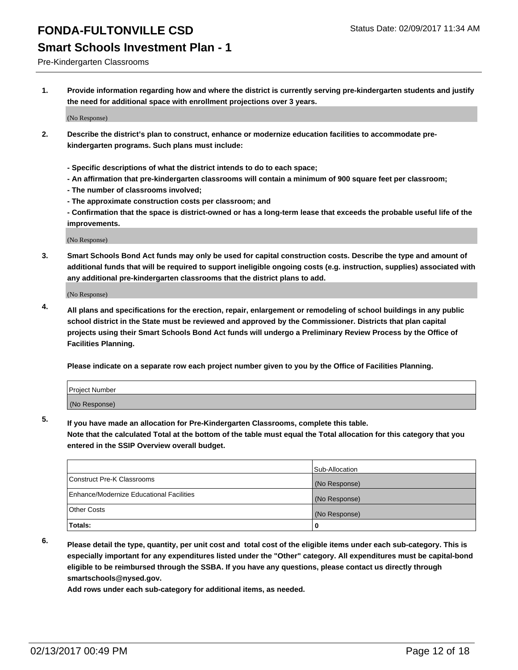### **Smart Schools Investment Plan - 1**

Pre-Kindergarten Classrooms

**1. Provide information regarding how and where the district is currently serving pre-kindergarten students and justify the need for additional space with enrollment projections over 3 years.**

(No Response)

- **2. Describe the district's plan to construct, enhance or modernize education facilities to accommodate prekindergarten programs. Such plans must include:**
	- **Specific descriptions of what the district intends to do to each space;**
	- **An affirmation that pre-kindergarten classrooms will contain a minimum of 900 square feet per classroom;**
	- **The number of classrooms involved;**
	- **The approximate construction costs per classroom; and**
	- **Confirmation that the space is district-owned or has a long-term lease that exceeds the probable useful life of the improvements.**

(No Response)

**3. Smart Schools Bond Act funds may only be used for capital construction costs. Describe the type and amount of additional funds that will be required to support ineligible ongoing costs (e.g. instruction, supplies) associated with any additional pre-kindergarten classrooms that the district plans to add.**

(No Response)

**4. All plans and specifications for the erection, repair, enlargement or remodeling of school buildings in any public school district in the State must be reviewed and approved by the Commissioner. Districts that plan capital projects using their Smart Schools Bond Act funds will undergo a Preliminary Review Process by the Office of Facilities Planning.**

**Please indicate on a separate row each project number given to you by the Office of Facilities Planning.**

| <b>Project Number</b> |  |
|-----------------------|--|
| (No Response)         |  |

**5. If you have made an allocation for Pre-Kindergarten Classrooms, complete this table.**

**Note that the calculated Total at the bottom of the table must equal the Total allocation for this category that you entered in the SSIP Overview overall budget.**

|                                          | Sub-Allocation |
|------------------------------------------|----------------|
| Construct Pre-K Classrooms               | (No Response)  |
| Enhance/Modernize Educational Facilities | (No Response)  |
| Other Costs                              | (No Response)  |
| Totals:                                  | 0              |

- 
- **6. Please detail the type, quantity, per unit cost and total cost of the eligible items under each sub-category. This is especially important for any expenditures listed under the "Other" category. All expenditures must be capital-bond eligible to be reimbursed through the SSBA. If you have any questions, please contact us directly through smartschools@nysed.gov.**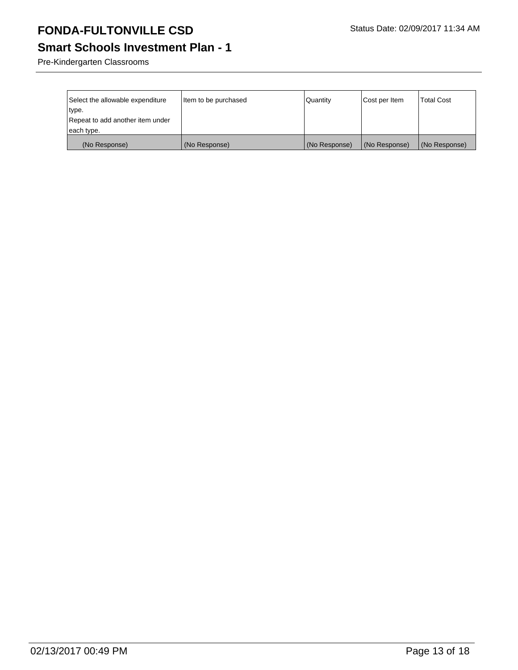# **Smart Schools Investment Plan - 1**

Pre-Kindergarten Classrooms

| Select the allowable expenditure<br>type.      | Item to be purchased | Quantity      | Cost per Item | <b>Total Cost</b> |
|------------------------------------------------|----------------------|---------------|---------------|-------------------|
| Repeat to add another item under<br>each type. |                      |               |               |                   |
| (No Response)                                  | (No Response)        | (No Response) | (No Response) | (No Response)     |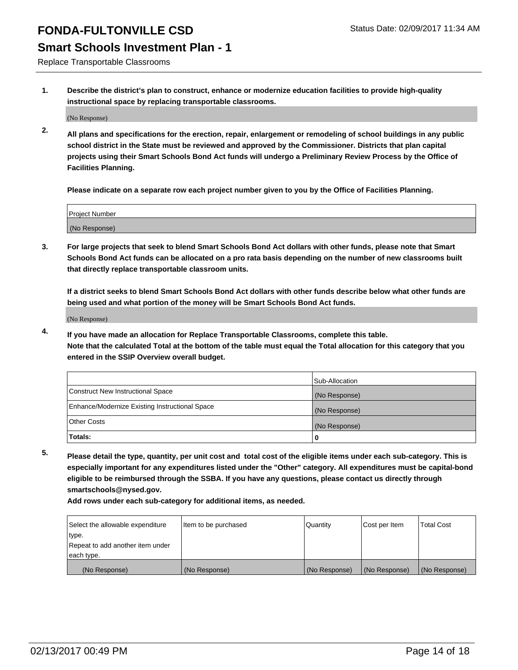### **Smart Schools Investment Plan - 1**

Replace Transportable Classrooms

**1. Describe the district's plan to construct, enhance or modernize education facilities to provide high-quality instructional space by replacing transportable classrooms.**

(No Response)

**2. All plans and specifications for the erection, repair, enlargement or remodeling of school buildings in any public school district in the State must be reviewed and approved by the Commissioner. Districts that plan capital projects using their Smart Schools Bond Act funds will undergo a Preliminary Review Process by the Office of Facilities Planning.**

**Please indicate on a separate row each project number given to you by the Office of Facilities Planning.**

| Project Number |  |
|----------------|--|
|                |  |
| (No Response)  |  |
|                |  |

**3. For large projects that seek to blend Smart Schools Bond Act dollars with other funds, please note that Smart Schools Bond Act funds can be allocated on a pro rata basis depending on the number of new classrooms built that directly replace transportable classroom units.**

**If a district seeks to blend Smart Schools Bond Act dollars with other funds describe below what other funds are being used and what portion of the money will be Smart Schools Bond Act funds.**

(No Response)

**4. If you have made an allocation for Replace Transportable Classrooms, complete this table. Note that the calculated Total at the bottom of the table must equal the Total allocation for this category that you entered in the SSIP Overview overall budget.**

|                                                | Sub-Allocation |
|------------------------------------------------|----------------|
| Construct New Instructional Space              | (No Response)  |
| Enhance/Modernize Existing Instructional Space | (No Response)  |
| Other Costs                                    | (No Response)  |
| Totals:                                        | 0              |

**5. Please detail the type, quantity, per unit cost and total cost of the eligible items under each sub-category. This is especially important for any expenditures listed under the "Other" category. All expenditures must be capital-bond eligible to be reimbursed through the SSBA. If you have any questions, please contact us directly through smartschools@nysed.gov.**

| Select the allowable expenditure | litem to be purchased | Quantity      | Cost per Item | <b>Total Cost</b> |
|----------------------------------|-----------------------|---------------|---------------|-------------------|
| type.                            |                       |               |               |                   |
| Repeat to add another item under |                       |               |               |                   |
| each type.                       |                       |               |               |                   |
| (No Response)                    | (No Response)         | (No Response) | (No Response) | (No Response)     |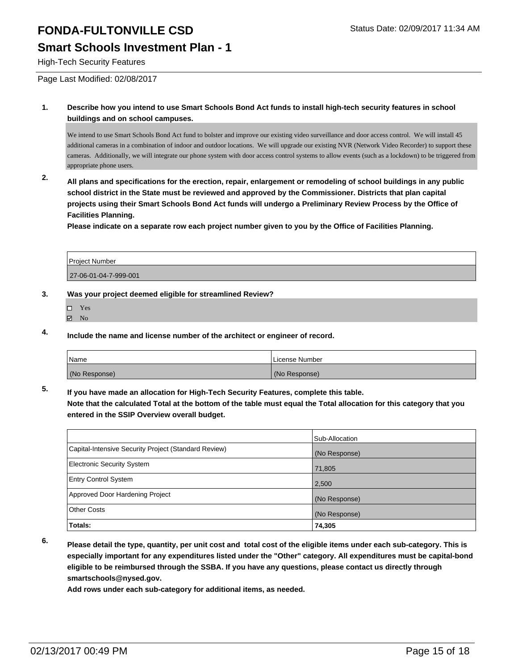### **Smart Schools Investment Plan - 1**

High-Tech Security Features

Page Last Modified: 02/08/2017

**1. Describe how you intend to use Smart Schools Bond Act funds to install high-tech security features in school buildings and on school campuses.**

We intend to use Smart Schools Bond Act fund to bolster and improve our existing video surveillance and door access control. We will install 45 additional cameras in a combination of indoor and outdoor locations. We will upgrade our existing NVR (Network Video Recorder) to support these cameras. Additionally, we will integrate our phone system with door access control systems to allow events (such as a lockdown) to be triggered from appropriate phone users.

**2. All plans and specifications for the erection, repair, enlargement or remodeling of school buildings in any public school district in the State must be reviewed and approved by the Commissioner. Districts that plan capital projects using their Smart Schools Bond Act funds will undergo a Preliminary Review Process by the Office of Facilities Planning.** 

**Please indicate on a separate row each project number given to you by the Office of Facilities Planning.**

| Project Number        |  |
|-----------------------|--|
| 27-06-01-04-7-999-001 |  |

#### **3. Was your project deemed eligible for streamlined Review?**

- Yes
- $\boxtimes$  No

**4. Include the name and license number of the architect or engineer of record.**

| Name          | License Number |
|---------------|----------------|
| (No Response) | (No Response)  |

**5. If you have made an allocation for High-Tech Security Features, complete this table.**

**Note that the calculated Total at the bottom of the table must equal the Total allocation for this category that you entered in the SSIP Overview overall budget.**

|                                                      | Sub-Allocation |
|------------------------------------------------------|----------------|
| Capital-Intensive Security Project (Standard Review) | (No Response)  |
| <b>Electronic Security System</b>                    | 71,805         |
| <b>Entry Control System</b>                          | 2,500          |
| Approved Door Hardening Project                      | (No Response)  |
| <b>Other Costs</b>                                   | (No Response)  |
| Totals:                                              | 74,305         |

**6. Please detail the type, quantity, per unit cost and total cost of the eligible items under each sub-category. This is especially important for any expenditures listed under the "Other" category. All expenditures must be capital-bond eligible to be reimbursed through the SSBA. If you have any questions, please contact us directly through smartschools@nysed.gov.**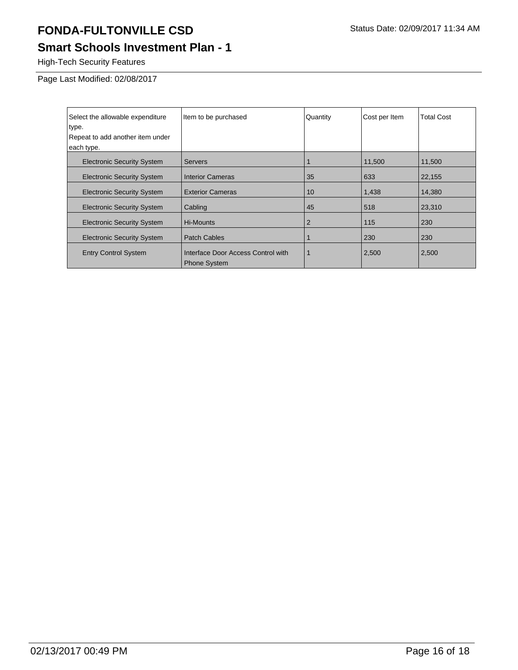# **Smart Schools Investment Plan - 1**

High-Tech Security Features

Page Last Modified: 02/08/2017

| Select the allowable expenditure<br>type. | Item to be purchased                                      | Quantity       | Cost per Item | <b>Total Cost</b> |
|-------------------------------------------|-----------------------------------------------------------|----------------|---------------|-------------------|
| Repeat to add another item under          |                                                           |                |               |                   |
| each type.                                |                                                           |                |               |                   |
| <b>Electronic Security System</b>         | <b>Servers</b>                                            |                | 11,500        | 11,500            |
| <b>Electronic Security System</b>         | <b>Interior Cameras</b>                                   | 35             | 633           | 22,155            |
| <b>Electronic Security System</b>         | <b>Exterior Cameras</b>                                   | 10             | 1,438         | 14,380            |
| <b>Electronic Security System</b>         | Cabling                                                   | 45             | 518           | 23,310            |
| <b>Electronic Security System</b>         | Hi-Mounts                                                 | $\overline{2}$ | 115           | 230               |
| <b>Electronic Security System</b>         | <b>Patch Cables</b>                                       |                | 230           | 230               |
| <b>Entry Control System</b>               | Interface Door Access Control with<br><b>Phone System</b> |                | 2,500         | 2,500             |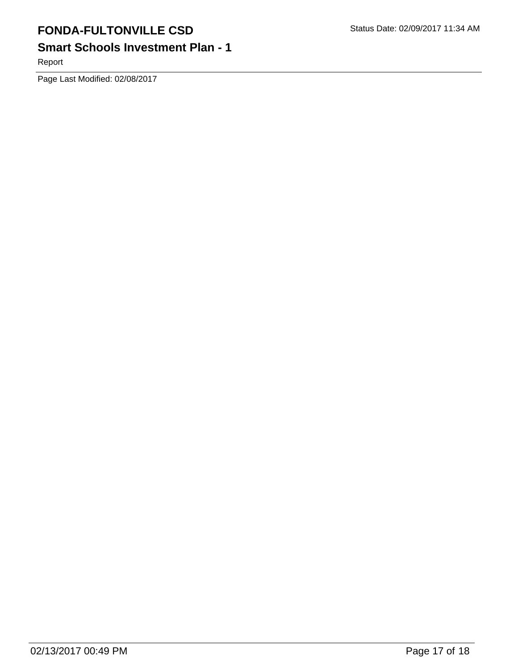# **Smart Schools Investment Plan - 1**

Report

Page Last Modified: 02/08/2017